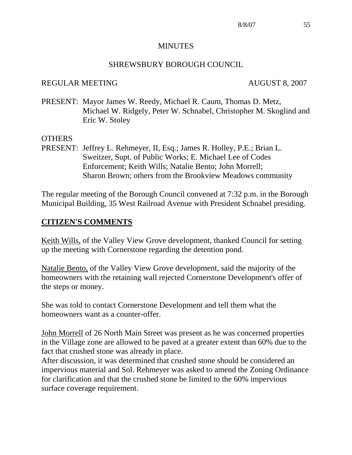#### MINUTES

#### SHREWSBURY BOROUGH COUNCIL

#### REGULAR MEETING AUGUST 8, 2007

PRESENT: Mayor James W. Reedy, Michael R. Caum, Thomas D. Metz, Michael W. Ridgely, Peter W. Schnabel, Christopher M. Skoglind and Eric W. Stoley

#### OTHERS

PRESENT: Jeffrey L. Rehmeyer, II, Esq.; James R. Holley, P.E.; Brian L. Sweitzer, Supt. of Public Works; E. Michael Lee of Codes Enforcement; Keith Wills; Natalie Bento; John Morrell; Sharon Brown; others from the Brookview Meadows community

The regular meeting of the Borough Council convened at 7:32 p.m. in the Borough Municipal Building, 35 West Railroad Avenue with President Schnabel presiding.

#### **CITIZEN'S COMMENTS**

Keith Wills, of the Valley View Grove development, thanked Council for setting up the meeting with Cornerstone regarding the detention pond.

Natalie Bento, of the Valley View Grove development, said the majority of the homeowners with the retaining wall rejected Cornerstone Development's offer of the steps or money.

She was told to contact Cornerstone Development and tell them what the homeowners want as a counter-offer.

John Morrell of 26 North Main Street was present as he was concerned properties in the Village zone are allowed to be paved at a greater extent than 60% due to the fact that crushed stone was already in place.

After discussion, it was determined that crushed stone should be considered an impervious material and Sol. Rehmeyer was asked to amend the Zoning Ordinance for clarification and that the crushed stone be limited to the 60% impervious surface coverage requirement.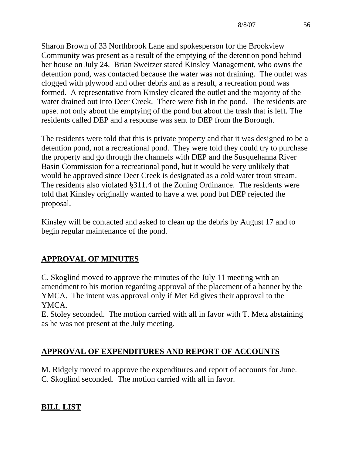Sharon Brown of 33 Northbrook Lane and spokesperson for the Brookview Community was present as a result of the emptying of the detention pond behind her house on July 24. Brian Sweitzer stated Kinsley Management, who owns the detention pond, was contacted because the water was not draining. The outlet was clogged with plywood and other debris and as a result, a recreation pond was formed. A representative from Kinsley cleared the outlet and the majority of the water drained out into Deer Creek. There were fish in the pond. The residents are upset not only about the emptying of the pond but about the trash that is left. The residents called DEP and a response was sent to DEP from the Borough.

The residents were told that this is private property and that it was designed to be a detention pond, not a recreational pond. They were told they could try to purchase the property and go through the channels with DEP and the Susquehanna River Basin Commission for a recreational pond, but it would be very unlikely that would be approved since Deer Creek is designated as a cold water trout stream. The residents also violated §311.4 of the Zoning Ordinance. The residents were told that Kinsley originally wanted to have a wet pond but DEP rejected the proposal.

Kinsley will be contacted and asked to clean up the debris by August 17 and to begin regular maintenance of the pond.

# **APPROVAL OF MINUTES**

C. Skoglind moved to approve the minutes of the July 11 meeting with an amendment to his motion regarding approval of the placement of a banner by the YMCA. The intent was approval only if Met Ed gives their approval to the YMCA.

E. Stoley seconded. The motion carried with all in favor with T. Metz abstaining as he was not present at the July meeting.

# **APPROVAL OF EXPENDITURES AND REPORT OF ACCOUNTS**

M. Ridgely moved to approve the expenditures and report of accounts for June. C. Skoglind seconded. The motion carried with all in favor.

# **BILL LIST**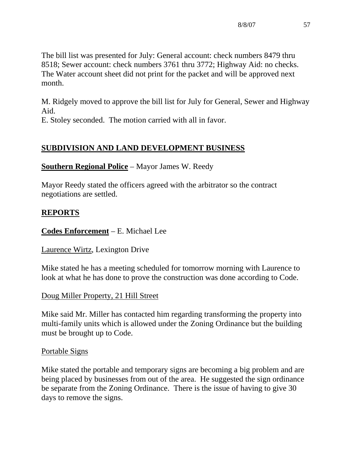The bill list was presented for July: General account: check numbers 8479 thru 8518; Sewer account: check numbers 3761 thru 3772; Highway Aid: no checks. The Water account sheet did not print for the packet and will be approved next month.

M. Ridgely moved to approve the bill list for July for General, Sewer and Highway Aid.

E. Stoley seconded. The motion carried with all in favor.

# **SUBDIVISION AND LAND DEVELOPMENT BUSINESS**

## **Southern Regional Police** – Mayor James W. Reedy

Mayor Reedy stated the officers agreed with the arbitrator so the contract negotiations are settled.

## **REPORTS**

### **Codes Enforcement** – E. Michael Lee

#### Laurence Wirtz, Lexington Drive

Mike stated he has a meeting scheduled for tomorrow morning with Laurence to look at what he has done to prove the construction was done according to Code.

## Doug Miller Property, 21 Hill Street

Mike said Mr. Miller has contacted him regarding transforming the property into multi-family units which is allowed under the Zoning Ordinance but the building must be brought up to Code.

#### Portable Signs

Mike stated the portable and temporary signs are becoming a big problem and are being placed by businesses from out of the area. He suggested the sign ordinance be separate from the Zoning Ordinance. There is the issue of having to give 30 days to remove the signs.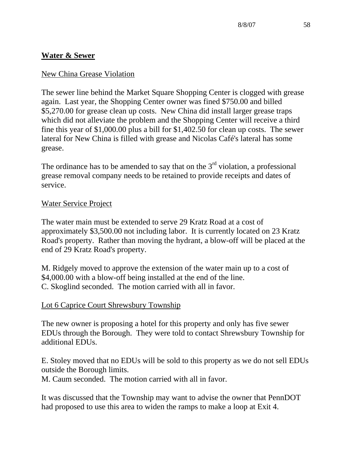# **Water & Sewer**

## New China Grease Violation

The sewer line behind the Market Square Shopping Center is clogged with grease again. Last year, the Shopping Center owner was fined \$750.00 and billed \$5,270.00 for grease clean up costs. New China did install larger grease traps which did not alleviate the problem and the Shopping Center will receive a third fine this year of \$1,000.00 plus a bill for \$1,402.50 for clean up costs. The sewer lateral for New China is filled with grease and Nicolas Café's lateral has some grease.

The ordinance has to be amended to say that on the  $3<sup>rd</sup>$  violation, a professional grease removal company needs to be retained to provide receipts and dates of service.

## Water Service Project

The water main must be extended to serve 29 Kratz Road at a cost of approximately \$3,500.00 not including labor. It is currently located on 23 Kratz Road's property. Rather than moving the hydrant, a blow-off will be placed at the end of 29 Kratz Road's property.

M. Ridgely moved to approve the extension of the water main up to a cost of \$4,000.00 with a blow-off being installed at the end of the line. C. Skoglind seconded. The motion carried with all in favor.

## Lot 6 Caprice Court Shrewsbury Township

The new owner is proposing a hotel for this property and only has five sewer EDUs through the Borough. They were told to contact Shrewsbury Township for additional EDUs.

E. Stoley moved that no EDUs will be sold to this property as we do not sell EDUs outside the Borough limits.

M. Caum seconded. The motion carried with all in favor.

It was discussed that the Township may want to advise the owner that PennDOT had proposed to use this area to widen the ramps to make a loop at Exit 4.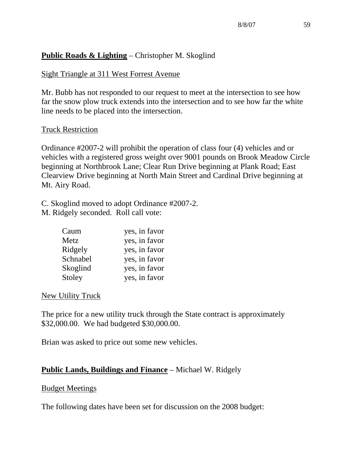## **Public Roads & Lighting** – Christopher M. Skoglind

## Sight Triangle at 311 West Forrest Avenue

Mr. Bubb has not responded to our request to meet at the intersection to see how far the snow plow truck extends into the intersection and to see how far the white line needs to be placed into the intersection.

#### Truck Restriction

Ordinance #2007-2 will prohibit the operation of class four (4) vehicles and or vehicles with a registered gross weight over 9001 pounds on Brook Meadow Circle beginning at Northbrook Lane; Clear Run Drive beginning at Plank Road; East Clearview Drive beginning at North Main Street and Cardinal Drive beginning at Mt. Airy Road.

C. Skoglind moved to adopt Ordinance #2007-2. M. Ridgely seconded. Roll call vote:

| Caum     | yes, in favor |
|----------|---------------|
| Metz     | yes, in favor |
| Ridgely  | yes, in favor |
| Schnabel | yes, in favor |
| Skoglind | yes, in favor |
| Stoley   | yes, in favor |

#### New Utility Truck

The price for a new utility truck through the State contract is approximately \$32,000.00. We had budgeted \$30,000.00.

Brian was asked to price out some new vehicles.

## **Public Lands, Buildings and Finance** – Michael W. Ridgely

#### Budget Meetings

The following dates have been set for discussion on the 2008 budget: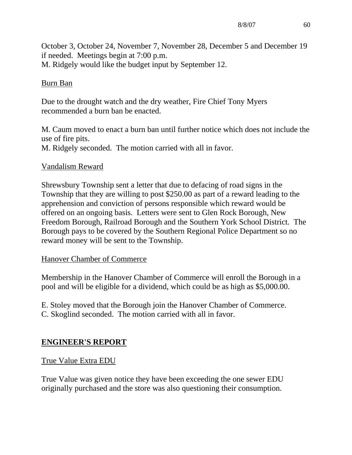October 3, October 24, November 7, November 28, December 5 and December 19 if needed. Meetings begin at 7:00 p.m. M. Ridgely would like the budget input by September 12.

## Burn Ban

Due to the drought watch and the dry weather, Fire Chief Tony Myers recommended a burn ban be enacted.

M. Caum moved to enact a burn ban until further notice which does not include the use of fire pits. M. Ridgely seconded. The motion carried with all in favor.

#### Vandalism Reward

Shrewsbury Township sent a letter that due to defacing of road signs in the Township that they are willing to post \$250.00 as part of a reward leading to the apprehension and conviction of persons responsible which reward would be offered on an ongoing basis. Letters were sent to Glen Rock Borough, New Freedom Borough, Railroad Borough and the Southern York School District. The Borough pays to be covered by the Southern Regional Police Department so no reward money will be sent to the Township.

#### Hanover Chamber of Commerce

Membership in the Hanover Chamber of Commerce will enroll the Borough in a pool and will be eligible for a dividend, which could be as high as \$5,000.00.

E. Stoley moved that the Borough join the Hanover Chamber of Commerce. C. Skoglind seconded. The motion carried with all in favor.

#### **ENGINEER'S REPORT**

#### True Value Extra EDU

True Value was given notice they have been exceeding the one sewer EDU originally purchased and the store was also questioning their consumption.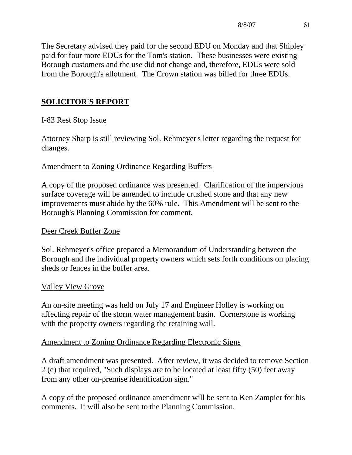The Secretary advised they paid for the second EDU on Monday and that Shipley paid for four more EDUs for the Tom's station. These businesses were existing Borough customers and the use did not change and, therefore, EDUs were sold from the Borough's allotment. The Crown station was billed for three EDUs.

# **SOLICITOR'S REPORT**

## I-83 Rest Stop Issue

Attorney Sharp is still reviewing Sol. Rehmeyer's letter regarding the request for changes.

## Amendment to Zoning Ordinance Regarding Buffers

A copy of the proposed ordinance was presented. Clarification of the impervious surface coverage will be amended to include crushed stone and that any new improvements must abide by the 60% rule. This Amendment will be sent to the Borough's Planning Commission for comment.

#### Deer Creek Buffer Zone

Sol. Rehmeyer's office prepared a Memorandum of Understanding between the Borough and the individual property owners which sets forth conditions on placing sheds or fences in the buffer area.

#### Valley View Grove

An on-site meeting was held on July 17 and Engineer Holley is working on affecting repair of the storm water management basin. Cornerstone is working with the property owners regarding the retaining wall.

#### Amendment to Zoning Ordinance Regarding Electronic Signs

A draft amendment was presented. After review, it was decided to remove Section 2 (e) that required, "Such displays are to be located at least fifty (50) feet away from any other on-premise identification sign."

A copy of the proposed ordinance amendment will be sent to Ken Zampier for his comments. It will also be sent to the Planning Commission.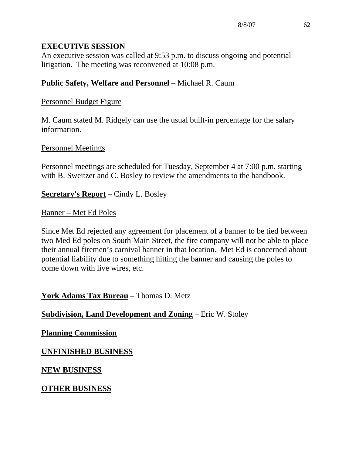#### **EXECUTIVE SESSION**

An executive session was called at 9:53 p.m. to discuss ongoing and potential litigation. The meeting was reconvened at 10:08 p.m.

# **Public Safety, Welfare and Personnel** – Michael R. Caum

## Personnel Budget Figure

M. Caum stated M. Ridgely can use the usual built-in percentage for the salary information.

## Personnel Meetings

Personnel meetings are scheduled for Tuesday, September 4 at 7:00 p.m. starting with B. Sweitzer and C. Bosley to review the amendments to the handbook.

**Secretary's Report** – Cindy L. Bosley

#### Banner – Met Ed Poles

Since Met Ed rejected any agreement for placement of a banner to be tied between two Med Ed poles on South Main Street, the fire company will not be able to place their annual firemen's carnival banner in that location. Met Ed is concerned about potential liability due to something hitting the banner and causing the poles to come down with live wires, etc.

## **York Adams Tax Bureau** – Thomas D. Metz

#### **Subdivision, Land Development and Zoning** – Eric W. Stoley

#### **Planning Commission**

## **UNFINISHED BUSINESS**

#### **NEW BUSINESS**

#### **OTHER BUSINESS**